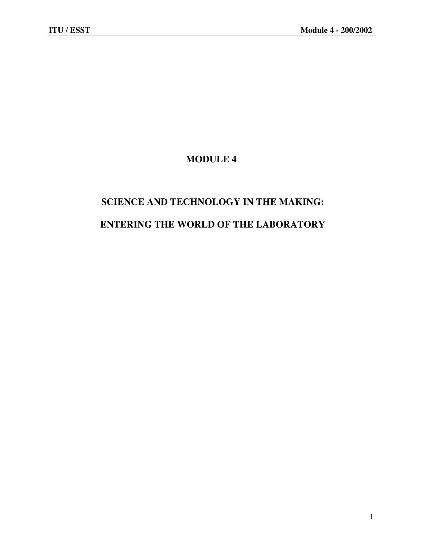# **MODULE 4**

# **SCIENCE AND TECHNOLOGY IN THE MAKING: ENTERING THE WORLD OF THE LABORATORY**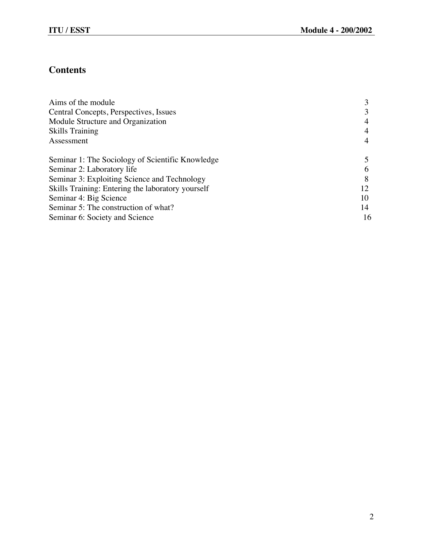# **Contents**

| Aims of the module                                |    |
|---------------------------------------------------|----|
| Central Concepts, Perspectives, Issues            |    |
| Module Structure and Organization                 |    |
| <b>Skills Training</b>                            |    |
| Assessment                                        |    |
| Seminar 1: The Sociology of Scientific Knowledge  |    |
| Seminar 2: Laboratory life                        |    |
| Seminar 3: Exploiting Science and Technology      |    |
| Skills Training: Entering the laboratory yourself | 12 |
| Seminar 4: Big Science                            | 10 |
| Seminar 5: The construction of what?              | 14 |
| Seminar 6: Society and Science                    | 16 |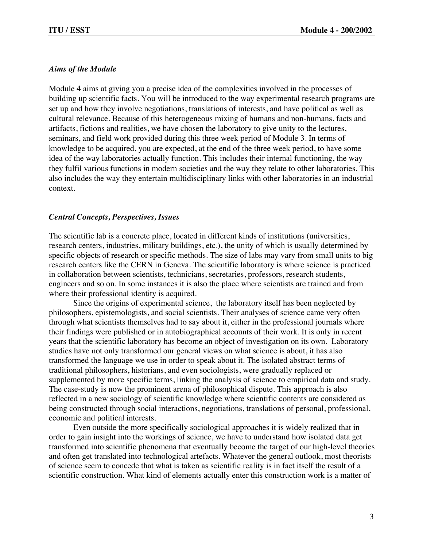# *Aims of the Module*

Module 4 aims at giving you a precise idea of the complexities involved in the processes of building up scientific facts. You will be introduced to the way experimental research programs are set up and how they involve negotiations, translations of interests, and have political as well as cultural relevance. Because of this heterogeneous mixing of humans and non-humans, facts and artifacts, fictions and realities, we have chosen the laboratory to give unity to the lectures, seminars, and field work provided during this three week period of Module 3. In terms of knowledge to be acquired, you are expected, at the end of the three week period, to have some idea of the way laboratories actually function. This includes their internal functioning, the way they fulfil various functions in modern societies and the way they relate to other laboratories. This also includes the way they entertain multidisciplinary links with other laboratories in an industrial context.

# *Central Concepts, Perspectives, Issues*

The scientific lab is a concrete place, located in different kinds of institutions (universities, research centers, industries, military buildings, etc.), the unity of which is usually determined by specific objects of research or specific methods. The size of labs may vary from small units to big research centers like the CERN in Geneva. The scientific laboratory is where science is practiced in collaboration between scientists, technicians, secretaries, professors, research students, engineers and so on. In some instances it is also the place where scientists are trained and from where their professional identity is acquired.

Since the origins of experimental science, the laboratory itself has been neglected by philosophers, epistemologists, and social scientists. Their analyses of science came very often through what scientists themselves had to say about it, either in the professional journals where their findings were published or in autobiographical accounts of their work. It is only in recent years that the scientific laboratory has become an object of investigation on its own. Laboratory studies have not only transformed our general views on what science is about, it has also transformed the language we use in order to speak about it. The isolated abstract terms of traditional philosophers, historians, and even sociologists, were gradually replaced or supplemented by more specific terms, linking the analysis of science to empirical data and study. The case-study is now the prominent arena of philosophical dispute. This approach is also reflected in a new sociology of scientific knowledge where scientific contents are considered as being constructed through social interactions, negotiations, translations of personal, professional, economic and political interests.

Even outside the more specifically sociological approaches it is widely realized that in order to gain insight into the workings of science, we have to understand how isolated data get transformed into scientific phenomena that eventually become the target of our high-level theories and often get translated into technological artefacts. Whatever the general outlook, most theorists of science seem to concede that what is taken as scientific reality is in fact itself the result of a scientific construction. What kind of elements actually enter this construction work is a matter of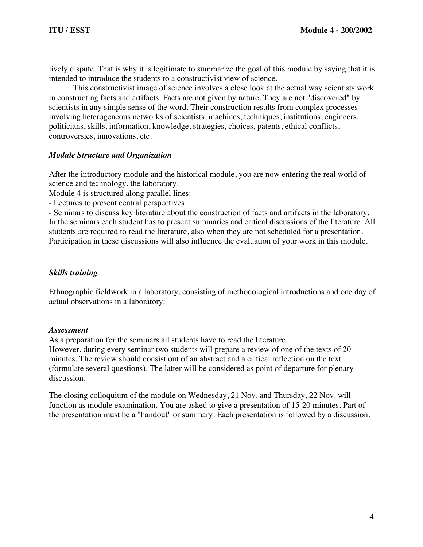lively dispute. That is why it is legitimate to summarize the goal of this module by saying that it is intended to introduce the students to a constructivist view of science.

This constructivist image of science involves a close look at the actual way scientists work in constructing facts and artifacts. Facts are not given by nature. They are not "discovered" by scientists in any simple sense of the word. Their construction results from complex processes involving heterogeneous networks of scientists, machines, techniques, institutions, engineers, politicians, skills, information, knowledge, strategies, choices, patents, ethical conflicts, controversies, innovations, etc.

# *Module Structure and Organization*

After the introductory module and the historical module, you are now entering the real world of science and technology, the laboratory.

Module 4 is structured along parallel lines:

- Lectures to present central perspectives

- Seminars to discuss key literature about the construction of facts and artifacts in the laboratory. In the seminars each student has to present summaries and critical discussions of the literature. All students are required to read the literature, also when they are not scheduled for a presentation. Participation in these discussions will also influence the evaluation of your work in this module.

# *Skills training*

Ethnographic fieldwork in a laboratory, consisting of methodological introductions and one day of actual observations in a laboratory:

# *Assessment*

As a preparation for the seminars all students have to read the literature. However, during every seminar two students will prepare a review of one of the texts of 20 minutes. The review should consist out of an abstract and a critical reflection on the text (formulate several questions). The latter will be considered as point of departure for plenary discussion.

The closing colloquium of the module on Wednesday, 21 Nov. and Thursday, 22 Nov. will function as module examination. You are asked to give a presentation of 15-20 minutes. Part of the presentation must be a "handout" or summary. Each presentation is followed by a discussion.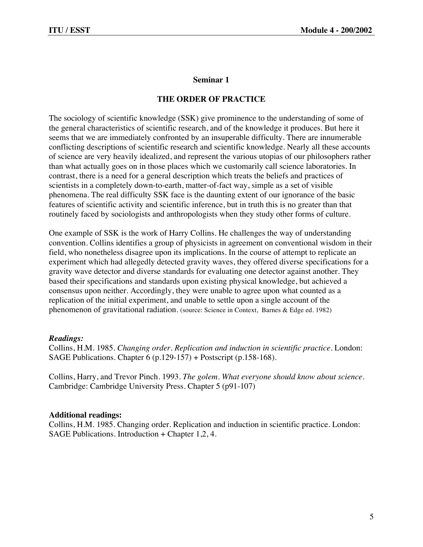# **THE ORDER OF PRACTICE**

The sociology of scientific knowledge (SSK) give prominence to the understanding of some of the general characteristics of scientific research, and of the knowledge it produces. But here it seems that we are immediately confronted by an insuperable difficulty. There are innumerable conflicting descriptions of scientific research and scientific knowledge. Nearly all these accounts of science are very heavily idealized, and represent the various utopias of our philosophers rather than what actually goes on in those places which we customarily call science laboratories. In contrast, there is a need for a general description which treats the beliefs and practices of scientists in a completely down-to-earth, matter-of-fact way, simple as a set of visible phenomena. The real difficulty SSK face is the daunting extent of our ignorance of the basic features of scientific activity and scientific inference, but in truth this is no greater than that routinely faced by sociologists and anthropologists when they study other forms of culture.

One example of SSK is the work of Harry Collins. He challenges the way of understanding convention. Collins identifies a group of physicists in agreement on conventional wisdom in their field, who nonetheless disagree upon its implications. In the course of attempt to replicate an experiment which had allegedly detected gravity waves, they offered diverse specifications for a gravity wave detector and diverse standards for evaluating one detector against another. They based their specifications and standards upon existing physical knowledge, but achieved a consensus upon neither. Accordingly, they were unable to agree upon what counted as a replication of the initial experiment, and unable to settle upon a single account of the phenomenon of gravitational radiation. (source: Science in Context, Barnes & Edge ed. 1982)

#### *Readings:*

Collins, H.M. 1985. *Changing order. Replication and induction in scientific practice.* London: SAGE Publications. Chapter 6 (p.129-157) + Postscript (p.158-168).

Collins, Harry, and Trevor Pinch. 1993. *The golem. What everyone should know about science.* Cambridge: Cambridge University Press. Chapter 5 (p91-107)

#### **Additional readings:**

Collins, H.M. 1985. Changing order. Replication and induction in scientific practice. London: SAGE Publications. Introduction + Chapter 1,2, 4.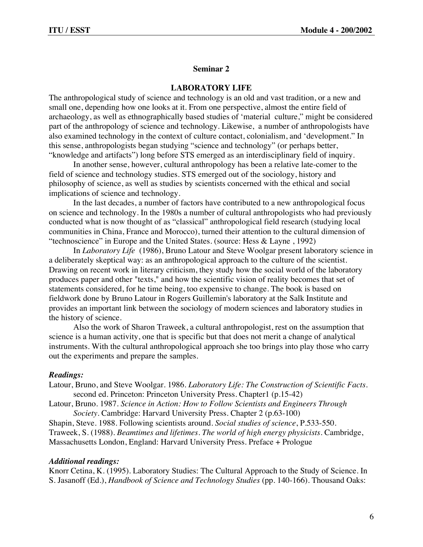#### **LABORATORY LIFE**

The anthropological study of science and technology is an old and vast tradition, or a new and small one, depending how one looks at it. From one perspective, almost the entire field of archaeology, as well as ethnographically based studies of 'material culture," might be considered part of the anthropology of science and technology. Likewise, a number of anthropologists have also examined technology in the context of culture contact, colonialism, and 'development." In this sense, anthropologists began studying "science and technology" (or perhaps better, "knowledge and artifacts") long before STS emerged as an interdisciplinary field of inquiry.

In another sense, however, cultural anthropology has been a relative late-comer to the field of science and technology studies. STS emerged out of the sociology, history and philosophy of science, as well as studies by scientists concerned with the ethical and social implications of science and technology.

In the last decades, a number of factors have contributed to a new anthropological focus on science and technology. In the 1980s a number of cultural anthropologists who had previously conducted what is now thought of as "classical" anthropological field research (studying local communities in China, France and Morocco), turned their attention to the cultural dimension of "technoscience" in Europe and the United States. (source: Hess & Layne , 1992)

In *Laboratory Life* (1986), Bruno Latour and Steve Woolgar present laboratory science in a deliberately skeptical way: as an anthropological approach to the culture of the scientist. Drawing on recent work in literary criticism, they study how the social world of the laboratory produces paper and other "texts," and how the scientific vision of reality becomes that set of statements considered, for he time being, too expensive to change. The book is based on fieldwork done by Bruno Latour in Rogers Guillemin's laboratory at the Salk Institute and provides an important link between the sociology of modern sciences and laboratory studies in the history of science.

Also the work of Sharon Traweek, a cultural anthropologist, rest on the assumption that science is a human activity, one that is specific but that does not merit a change of analytical instruments. With the cultural anthropological approach she too brings into play those who carry out the experiments and prepare the samples.

#### *Readings:*

- Latour, Bruno, and Steve Woolgar. 1986. *Laboratory Life: The Construction of Scientific Facts*. second ed. Princeton: Princeton University Press. Chapter1 (p.15-42)
- Latour, Bruno. 1987. *Science in Action: How to Follow Scientists and Engineers Through Society*. Cambridge: Harvard University Press. Chapter 2 (p.63-100)

Shapin, Steve. 1988. Following scientists around. *Social studies of science*, P.533-550. Traweek, S. (1988). *Beamtimes and lifetimes. The world of high energy physicists.* Cambridge, Massachusetts London, England: Harvard University Press. Preface + Prologue

#### *Additional readings:*

Knorr Cetina, K. (1995). Laboratory Studies: The Cultural Approach to the Study of Science. In S. Jasanoff (Ed.), *Handbook of Science and Technology Studies* (pp. 140-166). Thousand Oaks: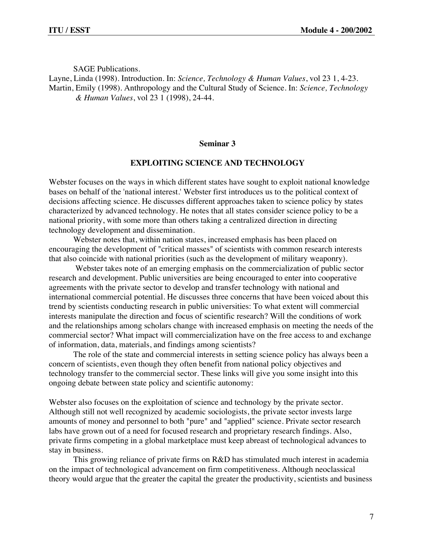SAGE Publications.

Layne, Linda (1998). Introduction. In: *Science, Technology & Human Values*, vol 23 1, 4-23. Martin, Emily (1998). Anthropology and the Cultural Study of Science. In: *Science, Technology & Human Values*, vol 23 1 (1998), 24-44.

#### **Seminar 3**

# **EXPLOITING SCIENCE AND TECHNOLOGY**

Webster focuses on the ways in which different states have sought to exploit national knowledge bases on behalf of the 'national interest.' Webster first introduces us to the political context of decisions affecting science. He discusses different approaches taken to science policy by states characterized by advanced technology. He notes that all states consider science policy to be a national priority, with some more than others taking a centralized direction in directing technology development and dissemination.

Webster notes that, within nation states, increased emphasis has been placed on encouraging the development of "critical masses" of scientists with common research interests that also coincide with national priorities (such as the development of military weaponry).

Webster takes note of an emerging emphasis on the commercialization of public sector research and development. Public universities are being encouraged to enter into cooperative agreements with the private sector to develop and transfer technology with national and international commercial potential. He discusses three concerns that have been voiced about this trend by scientists conducting research in public universities: To what extent will commercial interests manipulate the direction and focus of scientific research? Will the conditions of work and the relationships among scholars change with increased emphasis on meeting the needs of the commercial sector? What impact will commercialization have on the free access to and exchange of information, data, materials, and findings among scientists?

The role of the state and commercial interests in setting science policy has always been a concern of scientists, even though they often benefit from national policy objectives and technology transfer to the commercial sector. These links will give you some insight into this ongoing debate between state policy and scientific autonomy:

Webster also focuses on the exploitation of science and technology by the private sector. Although still not well recognized by academic sociologists, the private sector invests large amounts of money and personnel to both "pure" and "applied" science. Private sector research labs have grown out of a need for focused research and proprietary research findings. Also, private firms competing in a global marketplace must keep abreast of technological advances to stay in business.

This growing reliance of private firms on R&D has stimulated much interest in academia on the impact of technological advancement on firm competitiveness. Although neoclassical theory would argue that the greater the capital the greater the productivity, scientists and business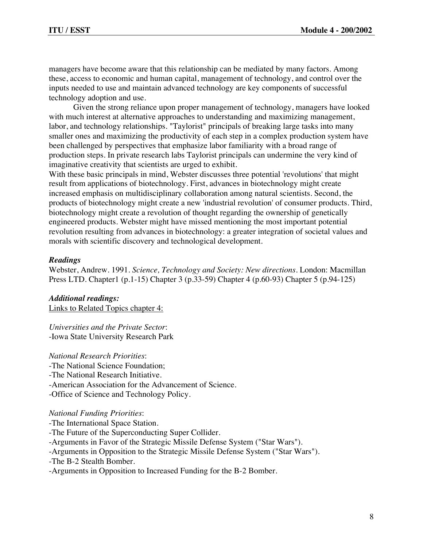managers have become aware that this relationship can be mediated by many factors. Among these, access to economic and human capital, management of technology, and control over the inputs needed to use and maintain advanced technology are key components of successful technology adoption and use.

Given the strong reliance upon proper management of technology, managers have looked with much interest at alternative approaches to understanding and maximizing management, labor, and technology relationships. "Taylorist" principals of breaking large tasks into many smaller ones and maximizing the productivity of each step in a complex production system have been challenged by perspectives that emphasize labor familiarity with a broad range of production steps. In private research labs Taylorist principals can undermine the very kind of imaginative creativity that scientists are urged to exhibit.

With these basic principals in mind, Webster discusses three potential 'revolutions' that might result from applications of biotechnology. First, advances in biotechnology might create increased emphasis on multidisciplinary collaboration among natural scientists. Second, the products of biotechnology might create a new 'industrial revolution' of consumer products. Third, biotechnology might create a revolution of thought regarding the ownership of genetically engineered products. Webster might have missed mentioning the most important potential revolution resulting from advances in biotechnology: a greater integration of societal values and morals with scientific discovery and technological development.

# *Readings*

Webster, Andrew. 1991. *Science, Technology and Society: New directions.* London: Macmillan Press LTD. Chapter1 (p.1-15) Chapter 3 (p.33-59) Chapter 4 (p.60-93) Chapter 5 (p.94-125)

*Additional readings:* Links to Related Topics chapter 4:

*Universities and the Private Sector*: -Iowa State University Research Park

#### *National Research Priorities*:

-The National Science Foundation;

- -The National Research Initiative.
- -American Association for the Advancement of Science.

-Office of Science and Technology Policy.

#### *National Funding Priorities*:

- -The International Space Station.
- -The Future of the Superconducting Super Collider.
- -Arguments in Favor of the Strategic Missile Defense System ("Star Wars").
- -Arguments in Opposition to the Strategic Missile Defense System ("Star Wars").
- -The B-2 Stealth Bomber.
- -Arguments in Opposition to Increased Funding for the B-2 Bomber.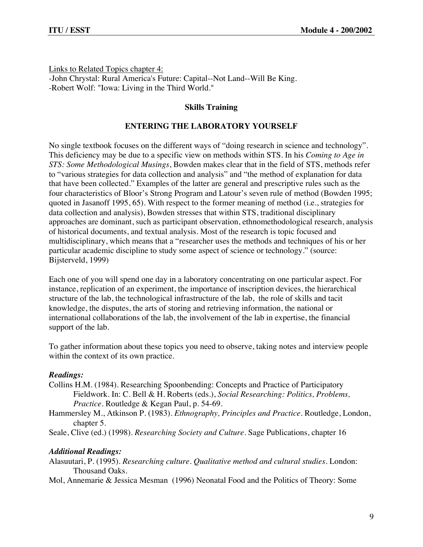Links to Related Topics chapter 4: -John Chrystal: Rural America's Future: Capital--Not Land--Will Be King. -Robert Wolf: "Iowa: Living in the Third World."

# **Skills Training**

# **ENTERING THE LABORATORY YOURSELF**

No single textbook focuses on the different ways of "doing research in science and technology". This deficiency may be due to a specific view on methods within STS. In his *Coming to Age in STS: Some Methodological Musings*, Bowden makes clear that in the field of STS, methods refer to "various strategies for data collection and analysis" and "the method of explanation for data that have been collected." Examples of the latter are general and prescriptive rules such as the four characteristics of Bloor's Strong Program and Latour's seven rule of method (Bowden 1995; quoted in Jasanoff 1995, 65). With respect to the former meaning of method (i.e., strategies for data collection and analysis), Bowden stresses that within STS, traditional disciplinary approaches are dominant, such as participant observation, ethnomethodological research, analysis of historical documents, and textual analysis. Most of the research is topic focused and multidisciplinary, which means that a "researcher uses the methods and techniques of his or her particular academic discipline to study some aspect of science or technology." (source: Bijsterveld, 1999)

Each one of you will spend one day in a laboratory concentrating on one particular aspect. For instance, replication of an experiment, the importance of inscription devices, the hierarchical structure of the lab, the technological infrastructure of the lab, the role of skills and tacit knowledge, the disputes, the arts of storing and retrieving information, the national or international collaborations of the lab, the involvement of the lab in expertise, the financial support of the lab.

To gather information about these topics you need to observe, taking notes and interview people within the context of its own practice.

# *Readings:*

- Collins H.M. (1984). Researching Spoonbending: Concepts and Practice of Participatory Fieldwork. In: C. Bell & H. Roberts (eds.), *Social Researching: Politics, Problems, Practice.* Routledge & Kegan Paul, p. 54-69.
- Hammersley M., Atkinson P. (1983). *Ethnography, Principles and Practice*. Routledge, London, chapter 5.
- Seale, Clive (ed.) (1998). *Researching Society and Culture.* Sage Publications, chapter 16

# *Additional Readings:*

- Alasuutari, P. (1995). *Researching culture. Qualitative method and cultural studies.* London: Thousand Oaks.
- Mol, Annemarie & Jessica Mesman (1996) Neonatal Food and the Politics of Theory: Some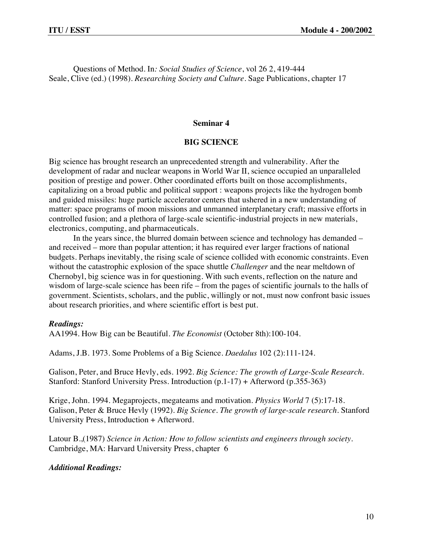Questions of Method. In*: Social Studies of Science*, vol 26 2, 419-444 Seale, Clive (ed.) (1998). *Researching Society and Culture.* Sage Publications, chapter 17

#### **Seminar 4**

#### **BIG SCIENCE**

Big science has brought research an unprecedented strength and vulnerability. After the development of radar and nuclear weapons in World War II, science occupied an unparalleled position of prestige and power. Other coordinated efforts built on those accomplishments, capitalizing on a broad public and political support : weapons projects like the hydrogen bomb and guided missiles: huge particle accelerator centers that ushered in a new understanding of matter: space programs of moon missions and unmanned interplanetary craft; massive efforts in controlled fusion; and a plethora of large-scale scientific-industrial projects in new materials, electronics, computing, and pharmaceuticals.

In the years since, the blurred domain between science and technology has demanded – and received – more than popular attention; it has required ever larger fractions of national budgets. Perhaps inevitably, the rising scale of science collided with economic constraints. Even without the catastrophic explosion of the space shuttle *Challenger* and the near meltdown of Chernobyl, big science was in for questioning. With such events, reflection on the nature and wisdom of large-scale science has been rife – from the pages of scientific journals to the halls of government. Scientists, scholars, and the public, willingly or not, must now confront basic issues about research priorities, and where scientific effort is best put.

#### *Readings:*

AA1994. How Big can be Beautiful. *The Economist* (October 8th):100-104.

Adams, J.B. 1973. Some Problems of a Big Science. *Daedalus* 102 (2):111-124.

Galison, Peter, and Bruce Hevly, eds. 1992. *Big Science: The growth of Large-Scale Research.* Stanford: Stanford University Press. Introduction (p.1-17) + Afterword (p.355-363)

Krige, John. 1994. Megaprojects, megateams and motivation. *Physics World* 7 (5):17-18. Galison, Peter & Bruce Hevly (1992). *Big Science. The growth of large-scale research*. Stanford University Press, Introduction + Afterword.

Latour B.,(1987) *Science in Action: How to follow scientists and engineers through society*. Cambridge, MA: Harvard University Press, chapter 6

#### *Additional Readings:*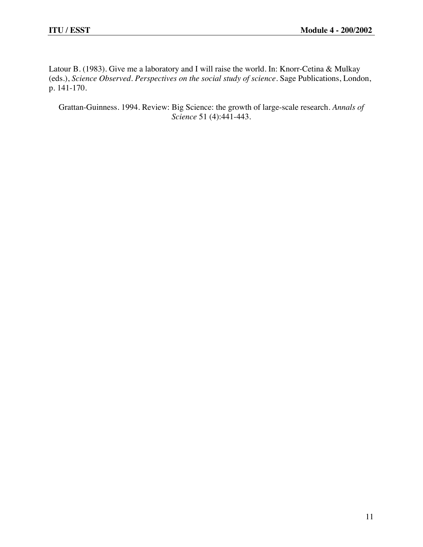Latour B. (1983). Give me a laboratory and I will raise the world. In: Knorr-Cetina & Mulkay (eds.), *Science Observed. Perspectives on the social study of science.* Sage Publications, London, p. 141-170.

Grattan-Guinness. 1994. Review: Big Science: the growth of large-scale research. *Annals of Science* 51 (4):441-443.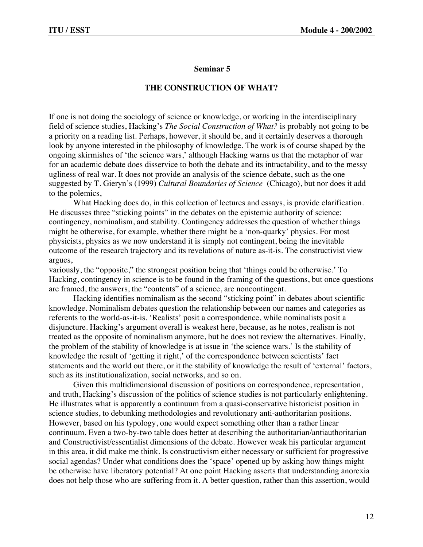#### **THE CONSTRUCTION OF WHAT?**

If one is not doing the sociology of science or knowledge, or working in the interdisciplinary field of science studies, Hacking's *The Social Construction of What?* is probably not going to be a priority on a reading list. Perhaps, however, it should be, and it certainly deserves a thorough look by anyone interested in the philosophy of knowledge. The work is of course shaped by the ongoing skirmishes of 'the science wars,' although Hacking warns us that the metaphor of war for an academic debate does disservice to both the debate and its intractability, and to the messy ugliness of real war. It does not provide an analysis of the science debate, such as the one suggested by T. Gieryn's (1999) *Cultural Boundaries of Science* (Chicago), but nor does it add to the polemics,

What Hacking does do, in this collection of lectures and essays, is provide clarification. He discusses three "sticking points" in the debates on the epistemic authority of science: contingency, nominalism, and stability. Contingency addresses the question of whether things might be otherwise, for example, whether there might be a 'non-quarky' physics. For most physicists, physics as we now understand it is simply not contingent, being the inevitable outcome of the research trajectory and its revelations of nature as-it-is. The constructivist view argues,

variously, the "opposite," the strongest position being that 'things could be otherwise.' To Hacking, contingency in science is to be found in the framing of the questions, but once questions are framed, the answers, the "contents" of a science, are noncontingent.

Hacking identifies nominalism as the second "sticking point" in debates about scientific knowledge. Nominalism debates question the relationship between our names and categories as referents to the world-as-it-is. 'Realists' posit a correspondence, while nominalists posit a disjuncture. Hacking's argument overall is weakest here, because, as he notes, realism is not treated as the opposite of nominalism anymore, but he does not review the alternatives. Finally, the problem of the stability of knowledge is at issue in 'the science wars.' Is the stability of knowledge the result of 'getting it right,' of the correspondence between scientists' fact statements and the world out there, or it the stability of knowledge the result of 'external' factors, such as its institutionalization, social networks, and so on.

Given this multidimensional discussion of positions on correspondence, representation, and truth, Hacking's discussion of the politics of science studies is not particularly enlightening. He illustrates what is apparently a continuum from a quasi-conservative historicist position in science studies, to debunking methodologies and revolutionary anti-authoritarian positions. However, based on his typology, one would expect something other than a rather linear continuum. Even a two-by-two table does better at describing the authoritarian/antiauthoritarian and Constructivist/essentialist dimensions of the debate. However weak his particular argument in this area, it did make me think. Is constructivism either necessary or sufficient for progressive social agendas? Under what conditions does the 'space' opened up by asking how things might be otherwise have liberatory potential? At one point Hacking asserts that understanding anorexia does not help those who are suffering from it. A better question, rather than this assertion, would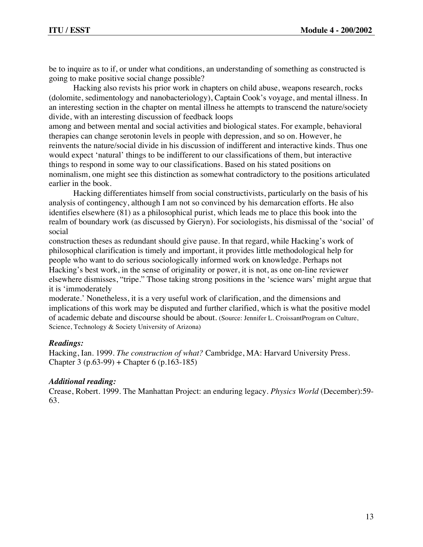be to inquire as to if, or under what conditions, an understanding of something as constructed is going to make positive social change possible?

Hacking also revists his prior work in chapters on child abuse, weapons research, rocks (dolomite, sedimentology and nanobacteriology), Captain Cook's voyage, and mental illness. In an interesting section in the chapter on mental illness he attempts to transcend the nature/society divide, with an interesting discussion of feedback loops

among and between mental and social activities and biological states. For example, behavioral therapies can change serotonin levels in people with depression, and so on. However, he reinvents the nature/social divide in his discussion of indifferent and interactive kinds. Thus one would expect 'natural' things to be indifferent to our classifications of them, but interactive things to respond in some way to our classifications. Based on his stated positions on nominalism, one might see this distinction as somewhat contradictory to the positions articulated earlier in the book.

Hacking differentiates himself from social constructivists, particularly on the basis of his analysis of contingency, although I am not so convinced by his demarcation efforts. He also identifies elsewhere (81) as a philosophical purist, which leads me to place this book into the realm of boundary work (as discussed by Gieryn). For sociologists, his dismissal of the 'social' of social

construction theses as redundant should give pause. In that regard, while Hacking's work of philosophical clarification is timely and important, it provides little methodological help for people who want to do serious sociologically informed work on knowledge. Perhaps not Hacking's best work, in the sense of originality or power, it is not, as one on-line reviewer elsewhere dismisses, "tripe." Those taking strong positions in the 'science wars' might argue that it is 'immoderately

moderate.' Nonetheless, it is a very useful work of clarification, and the dimensions and implications of this work may be disputed and further clarified, which is what the positive model of academic debate and discourse should be about. (Source: Jennifer L. CroissantProgram on Culture, Science, Technology & Society University of Arizona)

# *Readings:*

Hacking, Ian. 1999. *The construction of what?* Cambridge, MA: Harvard University Press. Chapter 3 (p.63-99) + Chapter 6 (p.163-185)

# *Additional reading:*

Crease, Robert. 1999. The Manhattan Project: an enduring legacy. *Physics World* (December):59- 63.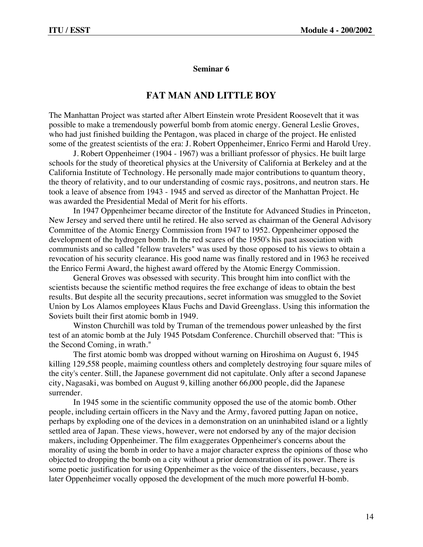# **FAT MAN AND LITTLE BOY**

The Manhattan Project was started after Albert Einstein wrote President Roosevelt that it was possible to make a tremendously powerful bomb from atomic energy. General Leslie Groves, who had just finished building the Pentagon, was placed in charge of the project. He enlisted some of the greatest scientists of the era: J. Robert Oppenheimer, Enrico Fermi and Harold Urey.

J. Robert Oppenheimer (1904 - 1967) was a brilliant professor of physics. He built large schools for the study of theoretical physics at the University of California at Berkeley and at the California Institute of Technology. He personally made major contributions to quantum theory, the theory of relativity, and to our understanding of cosmic rays, positrons, and neutron stars. He took a leave of absence from 1943 - 1945 and served as director of the Manhattan Project. He was awarded the Presidential Medal of Merit for his efforts.

In 1947 Oppenheimer became director of the Institute for Advanced Studies in Princeton, New Jersey and served there until he retired. He also served as chairman of the General Advisory Committee of the Atomic Energy Commission from 1947 to 1952. Oppenheimer opposed the development of the hydrogen bomb. In the red scares of the 1950's his past association with communists and so called "fellow travelers" was used by those opposed to his views to obtain a revocation of his security clearance. His good name was finally restored and in 1963 he received the Enrico Fermi Award, the highest award offered by the Atomic Energy Commission.

General Groves was obsessed with security. This brought him into conflict with the scientists because the scientific method requires the free exchange of ideas to obtain the best results. But despite all the security precautions, secret information was smuggled to the Soviet Union by Los Alamos employees Klaus Fuchs and David Greenglass. Using this information the Soviets built their first atomic bomb in 1949.

Winston Churchill was told by Truman of the tremendous power unleashed by the first test of an atomic bomb at the July 1945 Potsdam Conference. Churchill observed that: "This is the Second Coming, in wrath."

The first atomic bomb was dropped without warning on Hiroshima on August 6, 1945 killing 129,558 people, maiming countless others and completely destroying four square miles of the city's center. Still, the Japanese government did not capitulate. Only after a second Japanese city, Nagasaki, was bombed on August 9, killing another 66,000 people, did the Japanese surrender.

In 1945 some in the scientific community opposed the use of the atomic bomb. Other people, including certain officers in the Navy and the Army, favored putting Japan on notice, perhaps by exploding one of the devices in a demonstration on an uninhabited island or a lightly settled area of Japan. These views, however, were not endorsed by any of the major decision makers, including Oppenheimer. The film exaggerates Oppenheimer's concerns about the morality of using the bomb in order to have a major character express the opinions of those who objected to dropping the bomb on a city without a prior demonstration of its power. There is some poetic justification for using Oppenheimer as the voice of the dissenters, because, years later Oppenheimer vocally opposed the development of the much more powerful H-bomb.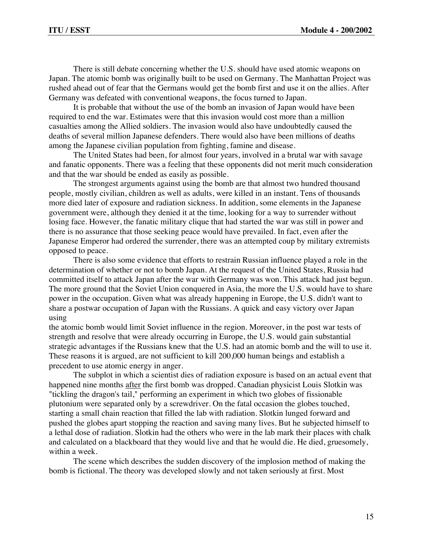There is still debate concerning whether the U.S. should have used atomic weapons on Japan. The atomic bomb was originally built to be used on Germany. The Manhattan Project was rushed ahead out of fear that the Germans would get the bomb first and use it on the allies. After Germany was defeated with conventional weapons, the focus turned to Japan.

It is probable that without the use of the bomb an invasion of Japan would have been required to end the war. Estimates were that this invasion would cost more than a million casualties among the Allied soldiers. The invasion would also have undoubtedly caused the deaths of several million Japanese defenders. There would also have been millions of deaths among the Japanese civilian population from fighting, famine and disease.

The United States had been, for almost four years, involved in a brutal war with savage and fanatic opponents. There was a feeling that these opponents did not merit much consideration and that the war should be ended as easily as possible.

The strongest arguments against using the bomb are that almost two hundred thousand people, mostly civilian, children as well as adults, were killed in an instant. Tens of thousands more died later of exposure and radiation sickness. In addition, some elements in the Japanese government were, although they denied it at the time, looking for a way to surrender without losing face. However, the fanatic military clique that had started the war was still in power and there is no assurance that those seeking peace would have prevailed. In fact, even after the Japanese Emperor had ordered the surrender, there was an attempted coup by military extremists opposed to peace.

There is also some evidence that efforts to restrain Russian influence played a role in the determination of whether or not to bomb Japan. At the request of the United States, Russia had committed itself to attack Japan after the war with Germany was won. This attack had just begun. The more ground that the Soviet Union conquered in Asia, the more the U.S. would have to share power in the occupation. Given what was already happening in Europe, the U.S. didn't want to share a postwar occupation of Japan with the Russians. A quick and easy victory over Japan using

the atomic bomb would limit Soviet influence in the region. Moreover, in the post war tests of strength and resolve that were already occurring in Europe, the U.S. would gain substantial strategic advantages if the Russians knew that the U.S. had an atomic bomb and the will to use it. These reasons it is argued, are not sufficient to kill 200,000 human beings and establish a precedent to use atomic energy in anger.

The subplot in which a scientist dies of radiation exposure is based on an actual event that happened nine months after the first bomb was dropped. Canadian physicist Louis Slotkin was "tickling the dragon's tail," performing an experiment in which two globes of fissionable plutonium were separated only by a screwdriver. On the fatal occasion the globes touched, starting a small chain reaction that filled the lab with radiation. Slotkin lunged forward and pushed the globes apart stopping the reaction and saving many lives. But he subjected himself to a lethal dose of radiation. Slotkin had the others who were in the lab mark their places with chalk and calculated on a blackboard that they would live and that he would die. He died, gruesomely, within a week.

The scene which describes the sudden discovery of the implosion method of making the bomb is fictional. The theory was developed slowly and not taken seriously at first. Most